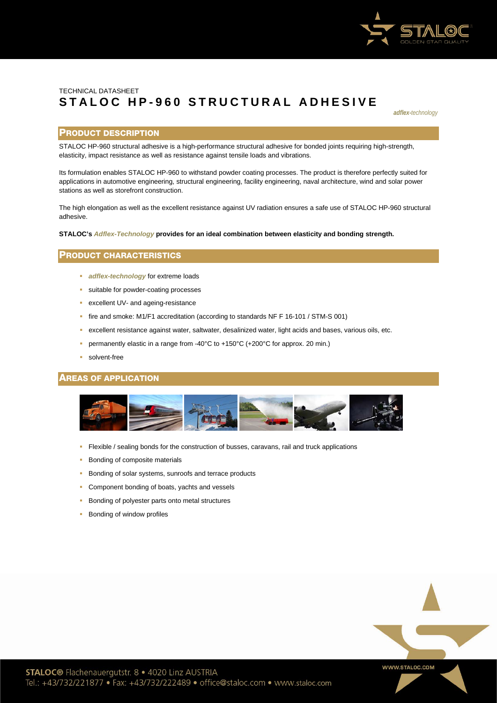

# TECHNICAL DATASHEET **STALOC H P - 960 STRU C TUR AL ADHESIVE**

*adflex-technology*

## PRODUCT DESCRIPTION

STALOC HP-960 structural adhesive is a high-performance structural adhesive for bonded joints requiring high-strength, elasticity, impact resistance as well as resistance against tensile loads and vibrations.

Its formulation enables STALOC HP-960 to withstand powder coating processes. The product is therefore perfectly suited for applications in automotive engineering, structural engineering, facility engineering, naval architecture, wind and solar power stations as well as storefront construction.

The high elongation as well as the excellent resistance against UV radiation ensures a safe use of STALOC HP-960 structural adhesive.

**STALOC's** *Adflex-Technology* **provides for an ideal combination between elasticity and bonding strength.** 

# PRODUCT CHARACTERISTICS

- **adflex-technology** for extreme loads
- suitable for powder-coating processes
- **EXCELLENT UV- and ageing-resistance**
- fire and smoke: M1/F1 accreditation (according to standards NF F 16-101 / STM-S 001)
- excellent resistance against water, saltwater, desalinized water, light acids and bases, various oils, etc.
- permanently elastic in a range from -40°C to +150°C (+200°C for approx. 20 min.)
- solvent-free

## AREAS OF APPLICATION



- Flexible / sealing bonds for the construction of busses, caravans, rail and truck applications
- **Bonding of composite materials**
- Bonding of solar systems, sunroofs and terrace products
- **Component bonding of boats, yachts and vessels**
- Bonding of polyester parts onto metal structures
- **Bonding of window profiles**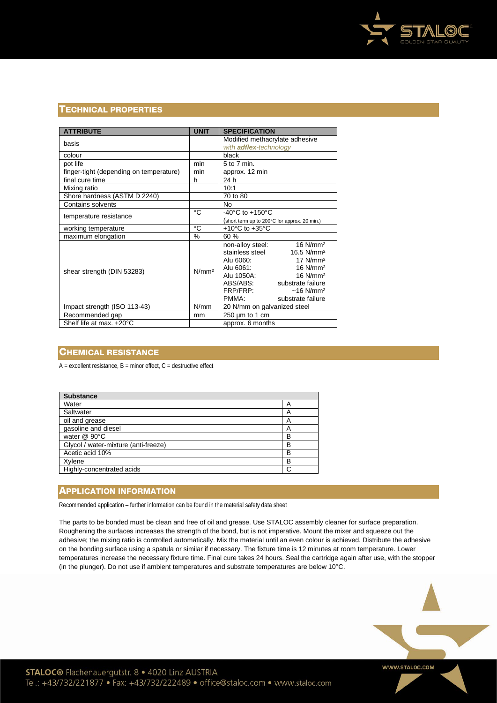

# TECHNICAL PROPERTIES

| <b>ATTRIBUTE</b>                        | <b>UNIT</b>       | <b>SPECIFICATION</b>                         |  |
|-----------------------------------------|-------------------|----------------------------------------------|--|
|                                         |                   | Modified methacrylate adhesive               |  |
| basis                                   |                   | with <b>adflex-technology</b>                |  |
| colour                                  |                   | black                                        |  |
| pot life                                | min               | 5 to 7 min.                                  |  |
| finger-tight (depending on temperature) | min               | approx. 12 min                               |  |
| final cure time                         | h                 | 24 h                                         |  |
| Mixing ratio                            |                   | 10:1                                         |  |
| Shore hardness (ASTM D 2240)            |                   | 70 to 80                                     |  |
| <b>Contains solvents</b>                |                   | <b>No</b>                                    |  |
| temperature resistance                  | °C                | -40 $^{\circ}$ C to +150 $^{\circ}$ C        |  |
|                                         |                   | (short term up to 200°C for approx. 20 min.) |  |
| working temperature                     | °C                | +10 $^{\circ}$ C to +35 $^{\circ}$ C         |  |
| maximum elongation                      | %                 | 60 %                                         |  |
| shear strength (DIN 53283)              | N/mm <sup>2</sup> | 16 N/mm <sup>2</sup><br>non-alloy steel:     |  |
|                                         |                   | stainless steel<br>16.5 N/mm <sup>2</sup>    |  |
|                                         |                   | $17$ N/mm <sup>2</sup><br>Alu 6060:          |  |
|                                         |                   | 16 N/mm <sup>2</sup><br>Alu 6061:            |  |
|                                         |                   | Alu 1050A:<br>$16$ N/mm <sup>2</sup>         |  |
|                                         |                   | ABS/ABS:<br>substrate failure                |  |
|                                         |                   | FRP/FRP:<br>$~16$ N/mm <sup>2</sup>          |  |
|                                         |                   | PMMA:<br>substrate failure                   |  |
| Impact strength (ISO 113-43)            | N/mm              | 20 N/mm on galvanized steel                  |  |
| Recommended gap                         | mm                | $250 \mu m$ to 1 cm                          |  |
| Shelf life at max. +20°C                |                   | approx. 6 months                             |  |

# CHEMICAL RESISTANCE

 $A =$  excellent resistance,  $B =$  minor effect,  $C =$  destructive effect

| <b>Substance</b>                     |   |
|--------------------------------------|---|
| Water                                | A |
| Saltwater                            | A |
| oil and grease                       | А |
| gasoline and diesel                  | A |
| water $@$ 90 $°C$                    | в |
| Glycol / water-mixture (anti-freeze) | В |
| Acetic acid 10%                      | В |
| Xylene                               | в |
| Highly-concentrated acids            | C |

# **APPLICATION INFORMATION**

Recommended application – further information can be found in the material safety data sheet

The parts to be bonded must be clean and free of oil and grease. Use STALOC assembly cleaner for surface preparation. Roughening the surfaces increases the strength of the bond, but is not imperative. Mount the mixer and squeeze out the adhesive; the mixing ratio is controlled automatically. Mix the material until an even colour is achieved. Distribute the adhesive on the bonding surface using a spatula or similar if necessary. The fixture time is 12 minutes at room temperature. Lower temperatures increase the necessary fixture time. Final cure takes 24 hours. Seal the cartridge again after use, with the stopper (in the plunger). Do not use if ambient temperatures and substrate temperatures are below 10°C.